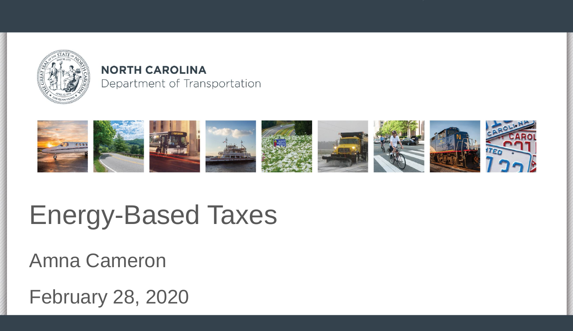

#### **NORTH CAROLINA** Department of Transportation



### Energy-Based Taxes

Amna Cameron

February 28, 2020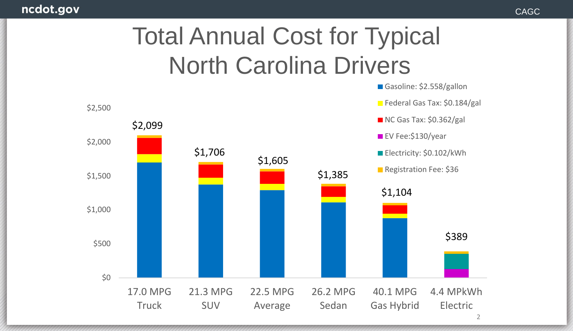#### ncdot.gov

#### Total Annual Cost for Typical North Carolina Drivers

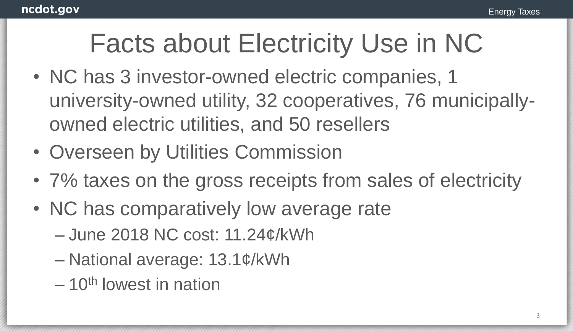#### Facts about Electricity Use in NC

- NC has 3 investor-owned electric companies, 1 university-owned utility, 32 cooperatives, 76 municipallyowned electric utilities, and 50 resellers
- Overseen by Utilities Commission
- 7% taxes on the gross receipts from sales of electricity
- NC has comparatively low average rate
	- June 2018 NC cost: 11.24¢/kWh
	- National average: 13.1¢/kWh
	- $-10$ <sup>th</sup> lowest in nation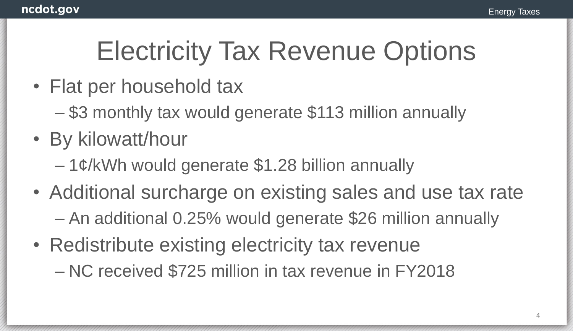## Electricity Tax Revenue Options

- Flat per household tax
	- \$3 monthly tax would generate \$113 million annually
- By kilowatt/hour
	- $-1$ ¢/kWh would generate \$1.28 billion annually
- Additional surcharge on existing sales and use tax rate – An additional 0.25% would generate \$26 million annually
- Redistribute existing electricity tax revenue – NC received \$725 million in tax revenue in FY2018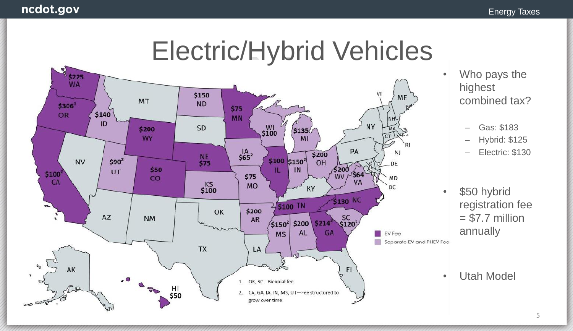



- Who pays the highest combined tax?
	- Gas: \$183
	- Hybrid: \$125
	- Electric: \$130
- \$50 hybrid registration fee  $= $7.7$  million annually
- Utah Model